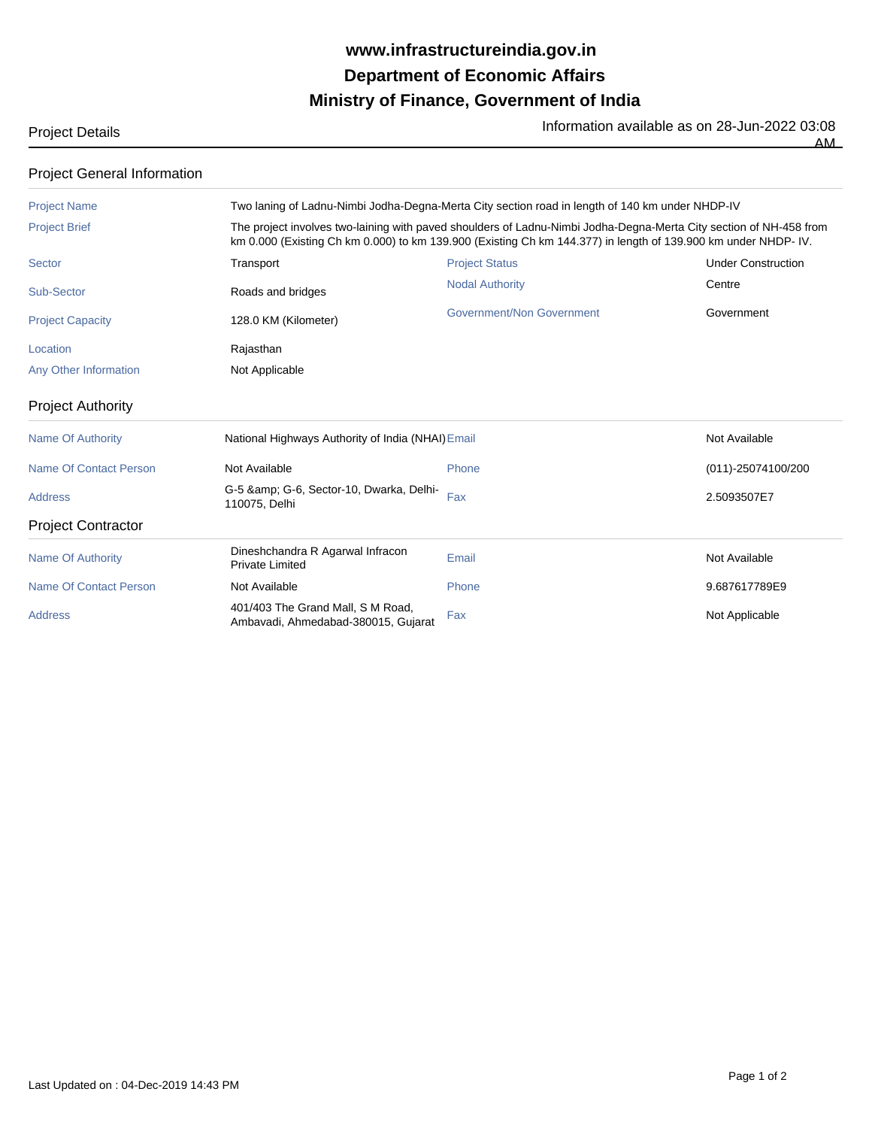## **Ministry of Finance, Government of India Department of Economic Affairs www.infrastructureindia.gov.in**

Project Details Information available as on 28-Jun-2022 03:08

## Project Name Two laning of Ladnu-Nimbi Jodha-Degna-Merta City section road in length of 140 km under NHDP-IV Project Brief **The project involves two-laining with paved shoulders of Ladnu-Nimbi Jodha-Degna-Merta City section of NH-458 from** km 0.000 (Existing Ch km 0.000) to km 139.900 (Existing Ch km 144.377) in length of 139.900 km under NHDP- IV. Sector **Transport Transport Transport** Project Status **Transport Under Construction** Sub-Sector **Centre** Roads and bridges **Roads** Authority Nodal Authority Centre Project Capacity **128.0 KM (Kilometer)** Government/Non Government Government Government Location **Rajasthan** Any Other Information Not Applicable Project Authority Name Of Authority **National Highways Authority of India (NHAI)** Email Not Available Not Available Name Of Contact Person **Not Available** Not Available **Phone** Phone (011)-25074100/200 Address **Fax 2.5093507E7**<br>Address 2.5093507E7 G-6, Sector-10, Dwarka, Delhi-110075, Delhi Project Contractor Name Of Authority **Elia Communist Dineshchandra R Agarwal Infracon**<br> **Private Limited** Private Communist Private Communist Private Limited Private Limited Not Available<br>Private Limited Not Available Name Of Contact Person **Not Available Not Available** Phone Phone 9.687617789E9 Address **Fax 101/403** The Grand Mall, S M Road, Fax 401/403 The Grand Mall, S M Road, Ambavadi, Ahmedabad-380015, Gujarat Fax<br>Ambavadi, Ahmedabad-380015, Gujarat Fax Project General Information

AM